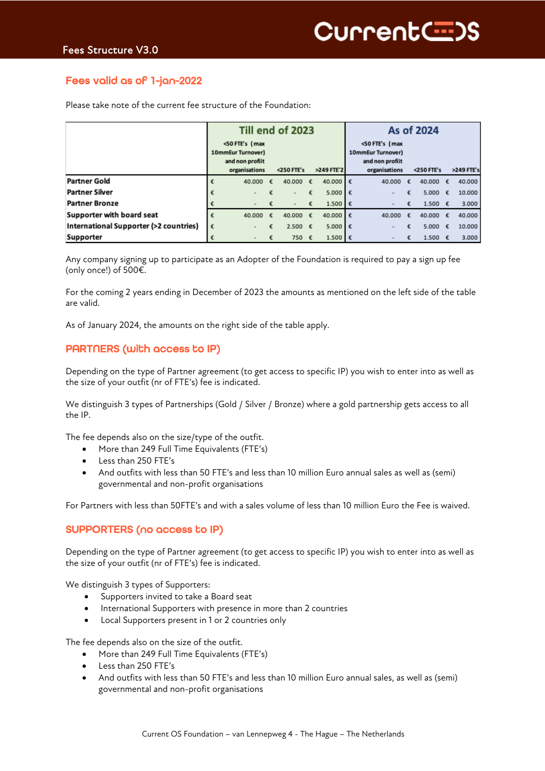## Fees valid as of 1-jan-2022

|                                        | Till end of 2023 |                                                                         |   |                   |   |            | As of 2024 |                                                                         |   |                  |   |            |
|----------------------------------------|------------------|-------------------------------------------------------------------------|---|-------------------|---|------------|------------|-------------------------------------------------------------------------|---|------------------|---|------------|
|                                        |                  | <50 FTE's (max<br>10mmEur Turnover)<br>and non profiit<br>organisations |   | <250 FTE's        |   | >249 FTE'2 |            | <50 FTE's (max<br>10mmEur Turnover)<br>and non profiit<br>organisations |   | <250 FTE's       |   | >249 FTE's |
| <b>Partner Gold</b>                    |                  | 40.000                                                                  | € | 40.000 €          |   | 40.000     | €          | 40.000                                                                  | € | 40.000           | € | 40,000     |
| Partner Silver                         | €                |                                                                         |   |                   | € | 5.000      | €          |                                                                         | € | 5.000 €          |   | 10,000     |
| <b>Partner Bronze</b>                  |                  |                                                                         |   | $\equiv$          | € | 1.500      | €          |                                                                         | € | 1.500 $\epsilon$ |   | 3,000      |
| Supporter with board seat              | €                | 40,000                                                                  | £ | 40.000 $\epsilon$ |   | 40.000 €   |            | 40.000                                                                  | € | 40,000           | € | 40,000     |
| International Supporter (>2 countries) | €                |                                                                         | £ | 2.500 $\epsilon$  |   | 5,000      | €          |                                                                         | € | 5.000            | £ | 10.000     |
| Supporter                              |                  |                                                                         |   | 750 €             |   | 1.500      | €          |                                                                         | € | 1.500 $\epsilon$ |   | 3.000      |

Please take note of the current fee structure of the Foundation:

Any company signing up to participate as an Adopter of the Foundation is required to pay a sign up fee (only once!) of 500€.

For the coming 2 years ending in December of 2023 the amounts as mentioned on the left side of the table are valid.

As of January 2024, the amounts on the right side of the table apply.

### PARTNERS (with access to IP)

Depending on the type of Partner agreement (to get access to specific IP) you wish to enter into as well as the size of your outfit (nr of FTE's) fee is indicated.

We distinguish 3 types of Partnerships (Gold / Silver / Bronze) where a gold partnership gets access to all the IP.

The fee depends also on the size/type of the outfit.

- More than 249 Full Time Equivalents (FTE's)
- Less than 250 FTE's
- And outfits with less than 50 FTE's and less than 10 million Euro annual sales as well as (semi) governmental and non-profit organisations

For Partners with less than 50FTE's and with a sales volume of less than 10 million Euro the Fee is waived.

#### SUPPORTERS (no access to IP)

Depending on the type of Partner agreement (to get access to specific IP) you wish to enter into as well as the size of your outfit (nr of FTE's) fee is indicated.

We distinguish 3 types of Supporters:

- Supporters invited to take a Board seat
- International Supporters with presence in more than 2 countries
- Local Supporters present in 1 or 2 countries only

The fee depends also on the size of the outfit.

- More than 249 Full Time Equivalents (FTE's)
- Less than 250 FTE's
- And outfits with less than 50 FTE's and less than 10 million Euro annual sales, as well as (semi) governmental and non-profit organisations